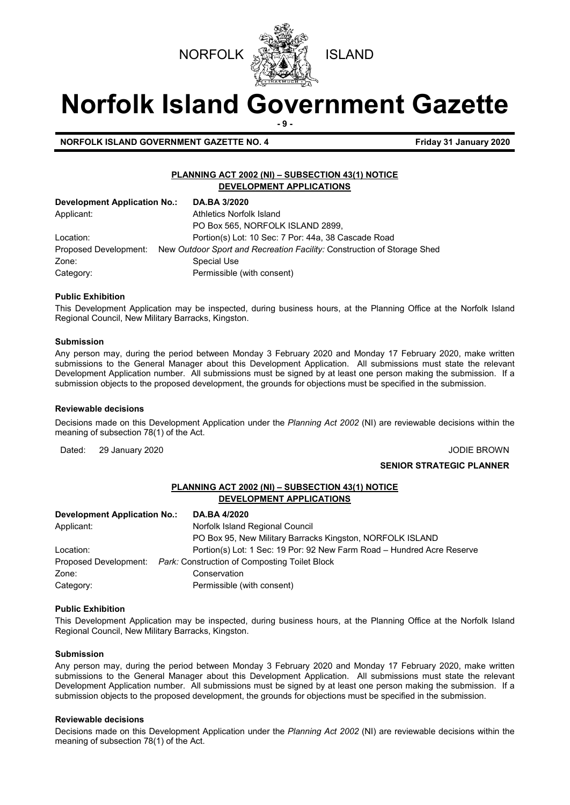

## **Norfolk Island Government Gazette - 9 -**

**NORFOLK ISLAND GOVERNMENT GAZETTE NO. 4** *CONSERVERSION SETTLE IS A FRIDAY 31 January 2020* 

## **PLANNING ACT 2002 (NI) – SUBSECTION 43(1) NOTICE DEVELOPMENT APPLICATIONS**

| Development Application No.: | <b>DA.BA 3/2020</b>                                                                           |
|------------------------------|-----------------------------------------------------------------------------------------------|
| Applicant:                   | Athletics Norfolk Island                                                                      |
|                              | PO Box 565, NORFOLK ISLAND 2899,                                                              |
| Location:                    | Portion(s) Lot: 10 Sec: 7 Por: 44a, 38 Cascade Road                                           |
|                              | Proposed Development: New Outdoor Sport and Recreation Facility: Construction of Storage Shed |
| Zone:                        | Special Use                                                                                   |
| Category:                    | Permissible (with consent)                                                                    |

### **Public Exhibition**

This Development Application may be inspected, during business hours, at the Planning Office at the Norfolk Island Regional Council, New Military Barracks, Kingston.

### **Submission**

Any person may, during the period between Monday 3 February 2020 and Monday 17 February 2020, make written submissions to the General Manager about this Development Application. All submissions must state the relevant Development Application number. All submissions must be signed by at least one person making the submission. If a submission objects to the proposed development, the grounds for objections must be specified in the submission.

### **Reviewable decisions**

Decisions made on this Development Application under the *Planning Act 2002* (NI) are reviewable decisions within the meaning of subsection 78(1) of the Act.

Dated: 29 January 2020 **John Christian Advisors Control Control Control Control Control Control Control Control Control Control Control Control Control Control Control Control Control Control Control Control Control Contro** 

### **SENIOR STRATEGIC PLANNER**

## **PLANNING ACT 2002 (NI) – SUBSECTION 43(1) NOTICE DEVELOPMENT APPLICATIONS**

| Development Application No.: | DA.BA 4/2020                                                           |
|------------------------------|------------------------------------------------------------------------|
| Applicant:                   | Norfolk Island Regional Council                                        |
|                              | PO Box 95, New Military Barracks Kingston, NORFOLK ISLAND              |
| Location:                    | Portion(s) Lot: 1 Sec: 19 Por: 92 New Farm Road – Hundred Acre Reserve |
|                              | Proposed Development: Park: Construction of Composting Toilet Block    |
| Zone:                        | Conservation                                                           |
| Category:                    | Permissible (with consent)                                             |

### **Public Exhibition**

This Development Application may be inspected, during business hours, at the Planning Office at the Norfolk Island Regional Council, New Military Barracks, Kingston.

### **Submission**

Any person may, during the period between Monday 3 February 2020 and Monday 17 February 2020, make written submissions to the General Manager about this Development Application. All submissions must state the relevant Development Application number. All submissions must be signed by at least one person making the submission. If a submission objects to the proposed development, the grounds for objections must be specified in the submission.

### **Reviewable decisions**

Decisions made on this Development Application under the *Planning Act 2002* (NI) are reviewable decisions within the meaning of subsection 78(1) of the Act.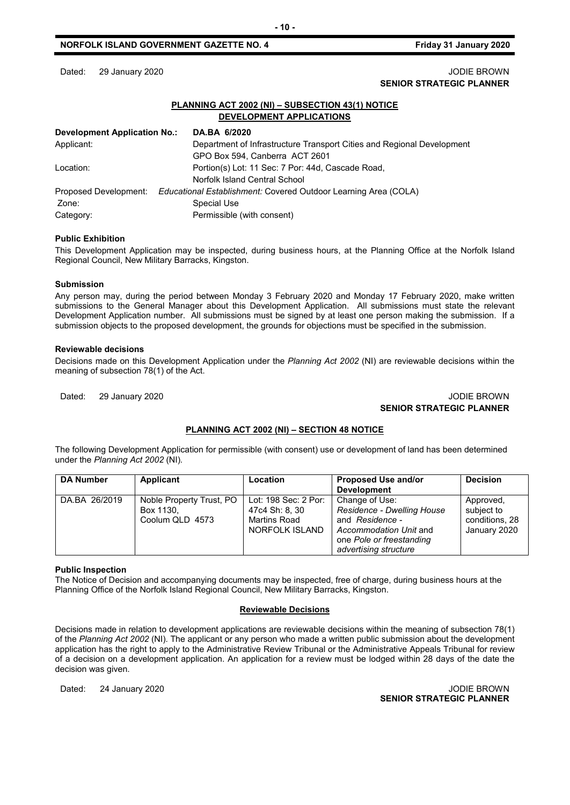### Dated: 29 January 2020 **John Christian Advisors Control Control Control Control Control Control Control Control Control Control Control Control Control Control Control Control Control Control Control Control Control Contro SENIOR STRATEGIC PLANNER**

## **PLANNING ACT 2002 (NI) – SUBSECTION 43(1) NOTICE DEVELOPMENT APPLICATIONS**

| <b>Development Application No.:</b> | DA.BA 6/2020                                                           |
|-------------------------------------|------------------------------------------------------------------------|
| Applicant:                          | Department of Infrastructure Transport Cities and Regional Development |
|                                     | GPO Box 594, Canberra ACT 2601                                         |
| Location:                           | Portion(s) Lot: 11 Sec: 7 Por: 44d, Cascade Road,                      |
|                                     | Norfolk Island Central School                                          |
| Proposed Development:               | Educational Establishment: Covered Outdoor Learning Area (COLA)        |
| Zone:                               | Special Use                                                            |
| Category:                           | Permissible (with consent)                                             |

### **Public Exhibition**

This Development Application may be inspected, during business hours, at the Planning Office at the Norfolk Island Regional Council, New Military Barracks, Kingston.

### **Submission**

Any person may, during the period between Monday 3 February 2020 and Monday 17 February 2020, make written submissions to the General Manager about this Development Application. All submissions must state the relevant Development Application number. All submissions must be signed by at least one person making the submission. If a submission objects to the proposed development, the grounds for objections must be specified in the submission.

### **Reviewable decisions**

Decisions made on this Development Application under the *Planning Act 2002* (NI) are reviewable decisions within the meaning of subsection 78(1) of the Act.

### Dated: 29 January 2020 **John Charles Controller Studies and Studies and Studies Area Controller Studies and Studies Area Controller Studies and JODIE BROWN SENIOR STRATEGIC PLANNER**

### **PLANNING ACT 2002 (NI) – SECTION 48 NOTICE**

The following Development Application for permissible (with consent) use or development of land has been determined under the *Planning Act 2002* (NI)*.*

| <b>DA Number</b> | Applicant                | Location             | <b>Proposed Use and/or</b> | <b>Decision</b> |
|------------------|--------------------------|----------------------|----------------------------|-----------------|
|                  |                          |                      | <b>Development</b>         |                 |
| DA.BA 26/2019    | Noble Property Trust, PO | Lot: 198 Sec: 2 Por: | Change of Use:             | Approved,       |
|                  | Box 1130.                | 47c4 Sh: 8, 30       | Residence - Dwelling House | subject to      |
|                  | Coolum QLD 4573          | Martins Road         | and Residence -            | conditions, 28  |
|                  |                          | NORFOLK ISLAND       | Accommodation Unit and     | January 2020    |
|                  |                          |                      | one Pole or freestanding   |                 |
|                  |                          |                      | advertising structure      |                 |

### **Public Inspection**

The Notice of Decision and accompanying documents may be inspected, free of charge, during business hours at the Planning Office of the Norfolk Island Regional Council, New Military Barracks, Kingston.

### **Reviewable Decisions**

Decisions made in relation to development applications are reviewable decisions within the meaning of subsection 78(1) of the *Planning Act 2002* (NI)*.* The applicant or any person who made a written public submission about the development application has the right to apply to the Administrative Review Tribunal or the Administrative Appeals Tribunal for review of a decision on a development application. An application for a review must be lodged within 28 days of the date the decision was given.

Dated: 24 January 2020 **John Communist Communist Communist Communist Communist Communist Communist Communist Communist Communist Communist Communist Communist Communist Communist Communist Communist Communist Communist Com SENIOR STRATEGIC PLANNER**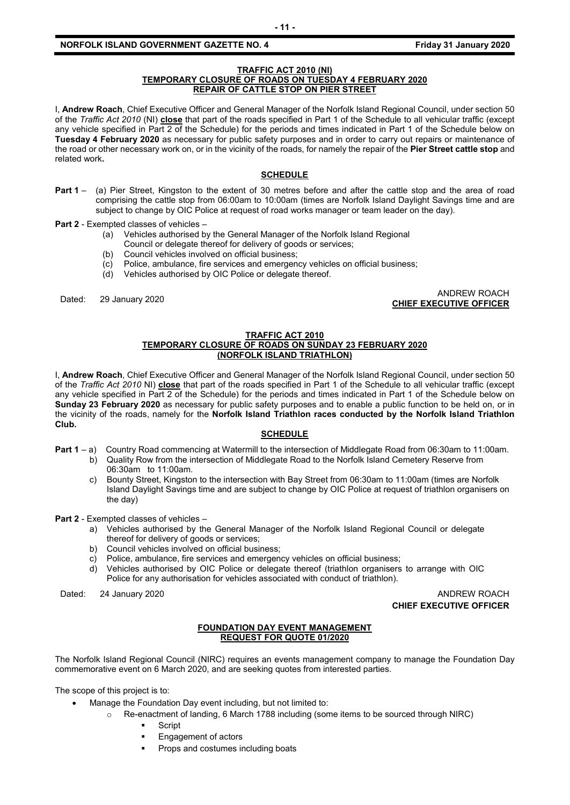### **TRAFFIC ACT 2010 (NI) TEMPORARY CLOSURE OF ROADS ON TUESDAY 4 FEBRUARY 2020 REPAIR OF CATTLE STOP ON PIER STREET**

I, **Andrew Roach**, Chief Executive Officer and General Manager of the Norfolk Island Regional Council, under section 50 of the *Traffic Act 2010* (NI) **close** that part of the roads specified in Part 1 of the Schedule to all vehicular traffic (except any vehicle specified in Part 2 of the Schedule) for the periods and times indicated in Part 1 of the Schedule below on **Tuesday 4 February 2020** as necessary for public safety purposes and in order to carry out repairs or maintenance of the road or other necessary work on, or in the vicinity of the roads, for namely the repair of the **Pier Street cattle stop** and related work**.**

## **SCHEDULE**

**Part 1** – (a) Pier Street, Kingston to the extent of 30 metres before and after the cattle stop and the area of road comprising the cattle stop from 06:00am to 10:00am (times are Norfolk Island Daylight Savings time and are subject to change by OIC Police at request of road works manager or team leader on the day).

**Part 2** - Exempted classes of vehicles –

- (a) Vehicles authorised by the General Manager of the Norfolk Island Regional
- Council or delegate thereof for delivery of goods or services;
- (b) Council vehicles involved on official business;
- (c) Police, ambulance, fire services and emergency vehicles on official business;<br>(d) Vehicles authorised by OIC Police or delegate thereof.
- Vehicles authorised by OIC Police or delegate thereof.

Dated: 29 January 2020 ANDREW ROACH **CHIEF EXECUTIVE OFFICER**

### **TRAFFIC ACT 2010 TEMPORARY CLOSURE OF ROADS ON SUNDAY 23 FEBRUARY 2020 (NORFOLK ISLAND TRIATHLON)**

I, **Andrew Roach**, Chief Executive Officer and General Manager of the Norfolk Island Regional Council, under section 50 of the *Traffic Act 2010* NI) **close** that part of the roads specified in Part 1 of the Schedule to all vehicular traffic (except any vehicle specified in Part 2 of the Schedule) for the periods and times indicated in Part 1 of the Schedule below on **Sunday 23 February 2020** as necessary for public safety purposes and to enable a public function to be held on, or in the vicinity of the roads, namely for the **Norfolk Island Triathlon races conducted by the Norfolk Island Triathlon Club.**

## **SCHEDULE**

- **Part 1** a) Country Road commencing at Watermill to the intersection of Middlegate Road from 06:30am to 11:00am. b) Quality Row from the intersection of Middlegate Road to the Norfolk Island Cemetery Reserve from 06:30am to 11:00am.
	- c) Bounty Street, Kingston to the intersection with Bay Street from 06:30am to 11:00am (times are Norfolk Island Daylight Savings time and are subject to change by OIC Police at request of triathlon organisers on the day)

**Part 2** - Exempted classes of vehicles –

- a) Vehicles authorised by the General Manager of the Norfolk Island Regional Council or delegate thereof for delivery of goods or services;
	- b) Council vehicles involved on official business;
	- c) Police, ambulance, fire services and emergency vehicles on official business;
	- d) Vehicles authorised by OIC Police or delegate thereof (triathlon organisers to arrange with OIC Police for any authorisation for vehicles associated with conduct of triathlon).

Dated: 24 January 2020 **ANDREW ROACH CONSUMING THE CONSUMING THE CONSUMING TEAM** AND REW ROACH

**CHIEF EXECUTIVE OFFICER**

### **FOUNDATION DAY EVENT MANAGEMENT REQUEST FOR QUOTE 01/2020**

The Norfolk Island Regional Council (NIRC) requires an events management company to manage the Foundation Day commemorative event on 6 March 2020, and are seeking quotes from interested parties.

The scope of this project is to:

- Manage the Foundation Day event including, but not limited to:
	- o Re-enactment of landing, 6 March 1788 including (some items to be sourced through NIRC)
		- **Script**
		- Engagement of actors
		- Props and costumes including boats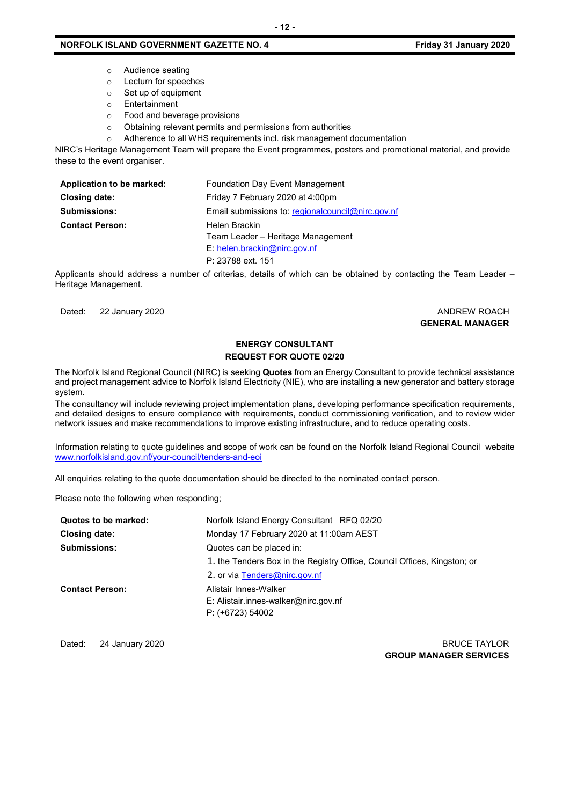- o Audience seating
- o Lecturn for speeches
- o Set up of equipment
- o Entertainment
- o Food and beverage provisions
- o Obtaining relevant permits and permissions from authorities
- o Adherence to all WHS requirements incl. risk management documentation

NIRC's Heritage Management Team will prepare the Event programmes, posters and promotional material, and provide these to the event organiser.

| Application to be marked: | Foundation Day Event Management                   |
|---------------------------|---------------------------------------------------|
| <b>Closing date:</b>      | Friday 7 February 2020 at 4:00pm                  |
| <b>Submissions:</b>       | Email submissions to: regionalcouncil@nirc.gov.nf |
| <b>Contact Person:</b>    | Helen Brackin                                     |
|                           | Team Leader – Heritage Management                 |
|                           | $E:$ helen.brackin@nirc.gov.nf                    |
|                           | P: 23788 ext. 151                                 |

Applicants should address a number of criterias, details of which can be obtained by contacting the Team Leader – Heritage Management.

Dated: 22 January 2020 **ANDREW ROACH** 

# **GENERAL MANAGER**

## **ENERGY CONSULTANT REQUEST FOR QUOTE 02/20**

The Norfolk Island Regional Council (NIRC) is seeking **Quotes** from an Energy Consultant to provide technical assistance and project management advice to Norfolk Island Electricity (NIE), who are installing a new generator and battery storage system.

The consultancy will include reviewing project implementation plans, developing performance specification requirements, and detailed designs to ensure compliance with requirements, conduct commissioning verification, and to review wider network issues and make recommendations to improve existing infrastructure, and to reduce operating costs.

Information relating to quote guidelines and scope of work can be found on the Norfolk Island Regional Council website [www.norfolkisland.gov.nf/your-council/tenders-and-eoi](http://www.norfolkisland.gov.nf/your-council/tenders-and-eoi)

All enquiries relating to the quote documentation should be directed to the nominated contact person.

Please note the following when responding;

| Quotes to be marked:   | Norfolk Island Energy Consultant RFQ 02/20                               |  |
|------------------------|--------------------------------------------------------------------------|--|
| Closing date:          | Monday 17 February 2020 at 11:00am AEST                                  |  |
| <b>Submissions:</b>    | Quotes can be placed in:                                                 |  |
|                        | 1. the Tenders Box in the Registry Office, Council Offices, Kingston; or |  |
|                        | 2. or via Tenders@nirc.gov.nf                                            |  |
| <b>Contact Person:</b> | Alistair Innes-Walker                                                    |  |
|                        | E: Alistair.innes-walker@nirc.gov.nf                                     |  |
|                        | P: (+6723) 54002                                                         |  |

Dated: 24 January 2020 **BRUCE TAYLOR GROUP MANAGER SERVICES**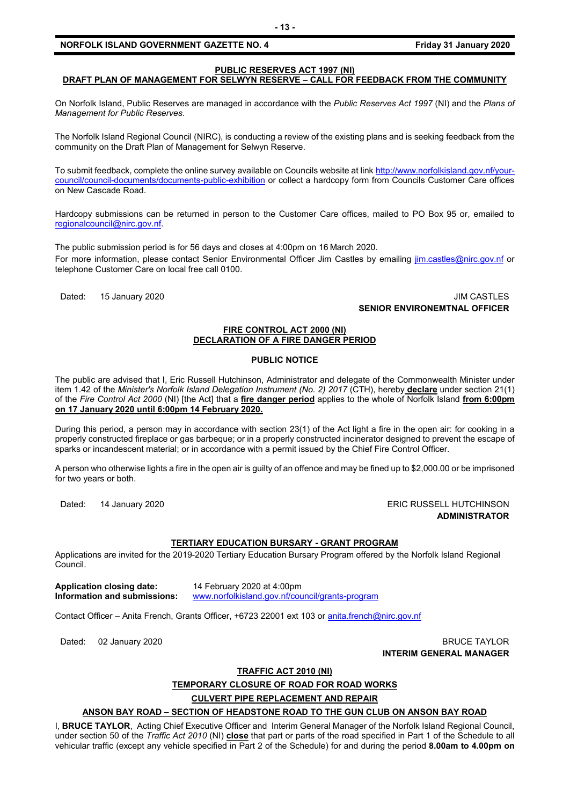## **PUBLIC RESERVES ACT 1997 (NI)**

## **DRAFT PLAN OF MANAGEMENT FOR SELWYN RESERVE – CALL FOR FEEDBACK FROM THE COMMUNITY**

On Norfolk Island, Public Reserves are managed in accordance with the *Public Reserves Act 1997* (NI) and the *Plans of Management for Public Reserves*.

The Norfolk Island Regional Council (NIRC), is conducting a review of the existing plans and is seeking feedback from the community on the Draft Plan of Management for Selwyn Reserve.

To submit feedback, complete the online survey available on Councils website at link [http://www.norfolkisland.gov.nf/your](http://www.norfolkisland.gov.nf/your-council/council-documents/documents-public-exhibition)[council/council-documents/documents-public-exhibition](http://www.norfolkisland.gov.nf/your-council/council-documents/documents-public-exhibition) or collect a hardcopy form from Councils Customer Care offices on New Cascade Road.

Hardcopy submissions can be returned in person to the Customer Care offices, mailed to PO Box 95 or, emailed to [regionalcouncil@nirc.gov.nf.](mailto:regionalcouncil@nirc.gov.nf)

The public submission period is for 56 days and closes at 4:00pm on 16 March 2020. For more information, please contact Senior Environmental Officer Jim Castles by emailing [jim.castles@nirc.gov.nf](mailto:jim.castles@nirc.gov.nf) or telephone Customer Care on local free call 0100.

Dated: 15 January 2020 **JIM CASTLES SENIOR ENVIRONEMTNAL OFFICER**

### **FIRE CONTROL ACT 2000 (NI) DECLARATION OF A FIRE DANGER PERIOD**

### **PUBLIC NOTICE**

The public are advised that I, Eric Russell Hutchinson, Administrator and delegate of the Commonwealth Minister under item 1.42 of the *Minister's Norfolk Island Delegation Instrument (No. 2) 2017* (CTH), hereby **declare** under section 21(1) of the *Fire Control Act 2000* (NI) [the Act] that a **fire danger period** applies to the whole of Norfolk Island **from 6:00pm on 17 January 2020 until 6:00pm 14 February 2020.**

During this period, a person may in accordance with section 23(1) of the Act light a fire in the open air: for cooking in a properly constructed fireplace or gas barbeque; or in a properly constructed incinerator designed to prevent the escape of sparks or incandescent material; or in accordance with a permit issued by the Chief Fire Control Officer.

A person who otherwise lights a fire in the open air is guilty of an offence and may be fined up to \$2,000.00 or be imprisoned for two years or both.

Dated: 14 January 2020 **ERIC RUSSELL HUTCHINSON ADMINISTRATOR**

### **TERTIARY EDUCATION BURSARY - GRANT PROGRAM**

Applications are invited for the 2019-2020 Tertiary Education Bursary Program offered by the Norfolk Island Regional Council.

**Application closing date:** 14 February 2020 at 4:00pm

**Information and submissions:** [www.norfolkisland.gov.nf/council/grants-program](http://www.norfolkisland.gov.nf/council/grants-program)

Contact Officer – Anita French, Grants Officer, +6723 22001 ext 103 o[r anita.french@nirc.gov.nf](mailto:anita.french@nirc.gov.nf)

Dated: 02 January 2020 **BRUCE TAYLOR INTERIM GENERAL MANAGER**

### **TRAFFIC ACT 2010 (NI)**

## **TEMPORARY CLOSURE OF ROAD FOR ROAD WORKS**

**CULVERT PIPE REPLACEMENT AND REPAIR** 

### **ANSON BAY ROAD – SECTION OF HEADSTONE ROAD TO THE GUN CLUB ON ANSON BAY ROAD**

I, **BRUCE TAYLOR**, Acting Chief Executive Officer and Interim General Manager of the Norfolk Island Regional Council, under section 50 of the *Traffic Act 2010* (NI) **close** that part or parts of the road specified in Part 1 of the Schedule to all vehicular traffic (except any vehicle specified in Part 2 of the Schedule) for and during the period **8.00am to 4.00pm on**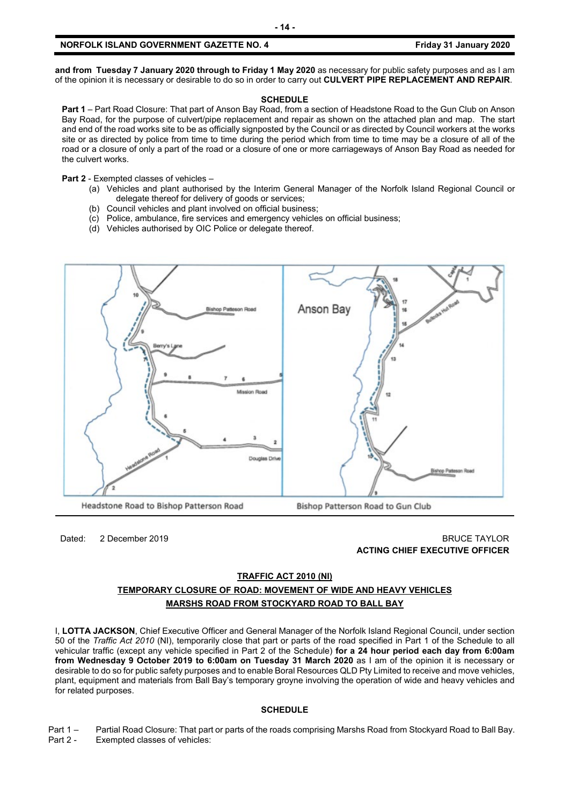**and from Tuesday 7 January 2020 through to Friday 1 May 2020** as necessary for public safety purposes and as I am of the opinion it is necessary or desirable to do so in order to carry out **CULVERT PIPE REPLACEMENT AND REPAIR**.

### **SCHEDULE**

**Part 1** – Part Road Closure: That part of Anson Bay Road, from a section of Headstone Road to the Gun Club on Anson Bay Road, for the purpose of culvert/pipe replacement and repair as shown on the attached plan and map. The start and end of the road works site to be as officially signposted by the Council or as directed by Council workers at the works site or as directed by police from time to time during the period which from time to time may be a closure of all of the road or a closure of only a part of the road or a closure of one or more carriageways of Anson Bay Road as needed for the culvert works.

**Part 2** - Exempted classes of vehicles –

- (a) Vehicles and plant authorised by the Interim General Manager of the Norfolk Island Regional Council or delegate thereof for delivery of goods or services;
- (b) Council vehicles and plant involved on official business;
- (c) Police, ambulance, fire services and emergency vehicles on official business;
- (d) Vehicles authorised by OIC Police or delegate thereof.



### Dated: 2 December 2019 BRUCE TAYLOR **ACTING CHIEF EXECUTIVE OFFICER**

### **TRAFFIC ACT 2010 (NI)**

## **TEMPORARY CLOSURE OF ROAD: MOVEMENT OF WIDE AND HEAVY VEHICLES MARSHS ROAD FROM STOCKYARD ROAD TO BALL BAY**

I, **LOTTA JACKSON**, Chief Executive Officer and General Manager of the Norfolk Island Regional Council, under section 50 of the *Traffic Act 2010* (NI), temporarily close that part or parts of the road specified in Part 1 of the Schedule to all vehicular traffic (except any vehicle specified in Part 2 of the Schedule) **for a 24 hour period each day from 6:00am from Wednesday 9 October 2019 to 6:00am on Tuesday 31 March 2020** as I am of the opinion it is necessary or desirable to do so for public safety purposes and to enable Boral Resources QLD Pty Limited to receive and move vehicles, plant, equipment and materials from Ball Bay's temporary groyne involving the operation of wide and heavy vehicles and for related purposes.

### **SCHEDULE**

Part 1 – Partial Road Closure: That part or parts of the roads comprising Marshs Road from Stockyard Road to Ball Bay. Part 2 - Exempted classes of vehicles: